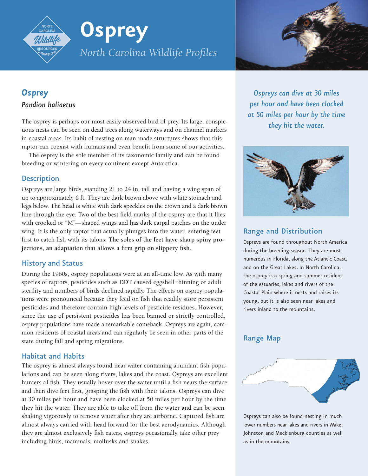# **Osprey** *North Carolina Wildlife Profiles*



# *Osprey Pandion haliaetus*

The osprey is perhaps our most easily observed bird of prey. Its large, conspicuous nests can be seen on dead trees along waterways and on channel markers in coastal areas. Its habit of nesting on man-made structures shows that this raptor can coexist with humans and even benefit from some of our activities.

The osprey is the sole member of its taxonomic family and can be found breeding or wintering on every continent except Antarctica.

## **Description**

Ospreys are large birds, standing 21 to 24 in. tall and having a wing span of up to approximately 6 ft. They are dark brown above with white stomach and legs below. The head is white with dark speckles on the crown and a dark brown line through the eye. Two of the best field marks of the osprey are that it flies with crooked or "M"—shaped wings and has dark carpal patches on the under wing. It is the only raptor that actually plunges into the water, entering feet first to catch fish with its talons. **The soles of the feet have sharp spiny projections, an adaptation that allows a firm grip on slippery fish**.

## History and Status

During the 1960s, osprey populations were at an all-time low. As with many species of raptors, pesticides such as DDT caused eggshell thinning or adult sterility and numbers of birds declined rapidly. The effects on osprey populations were pronounced because they feed on fish that readily store persistent pesticides and therefore contain high levels of pesticide residues. However, since the use of persistent pesticides has been banned or strictly controlled, osprey populations have made a remarkable comeback. Ospreys are again, common residents of coastal areas and can regularly be seen in other parts of the state during fall and spring migrations.

## Habitat and Habits

The osprey is almost always found near water containing abundant fish populations and can be seen along rivers, lakes and the coast. Ospreys are excellent hunters of fish. They usually hover over the water until a fish nears the surface and then dive feet first, grasping the fish with their talons. Ospreys can dive at 30 miles per hour and have been clocked at 50 miles per hour by the time they hit the water. They are able to take off from the water and can be seen shaking vigorously to remove water after they are airborne. Captured fish are almost always carried with head forward for the best aerodynamics. Although they are almost exclusively fish eaters, ospreys occasionally take other prey including birds, mammals, mollusks and snakes.

*Ospreys can dive at 30 miles per hour and have been clocked at 50 miles per hour by the time they hit the water.*



## Range and Distribution

Ospreys are found throughout North America during the breeding season. They are most numerous in Florida, along the Atlantic Coast, and on the Great Lakes. In North Carolina, the osprey is a spring and summer resident of the estuaries, lakes and rivers of the Coastal Plain where it nests and raises its young, but it is also seen near lakes and rivers inland to the mountains.

## Range Map



Ospreys can also be found nesting in much lower numbers near lakes and rivers in Wake, Johnston and Mecklenburg counties as well as in the mountains.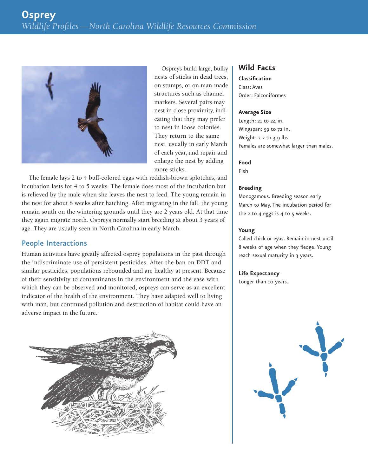

Ospreys build large, bulky nests of sticks in dead trees, on stumps, or on man-made structures such as channel markers. Several pairs may nest in close proximity, indicating that they may prefer to nest in loose colonies. They return to the same nest, usually in early March of each year, and repair and enlarge the nest by adding more sticks.

The female lays 2 to 4 buff-colored eggs with reddish-brown splotches, and incubation lasts for 4 to 5 weeks. The female does most of the incubation but is relieved by the male when she leaves the nest to feed. The young remain in the nest for about 8 weeks after hatching. After migrating in the fall, the young remain south on the wintering grounds until they are 2 years old. At that time they again migrate north. Ospreys normally start breeding at about 3 years of age. They are usually seen in North Carolina in early March.

## People Interactions

Human activities have greatly affected osprey populations in the past through the indiscriminate use of persistent pesticides. After the ban on DDT and similar pesticides, populations rebounded and are healthy at present. Because of their sensitivity to contaminants in the environment and the ease with which they can be observed and monitored, ospreys can serve as an excellent indicator of the health of the environment. They have adapted well to living with man, but continued pollution and destruction of habitat could have an adverse impact in the future.



## **Wild Facts**

**Classification** Class: Aves Order: Falconiformes

#### **Average Size**

Length: 21 to 24 in. Wingspan: 59 to 72 in. Weight: 2.2 to 3.9 lbs. Females are somewhat larger than males.

## **Food**

Fish

#### **Breeding**

Monogamous. Breeding season early March to May. The incubation period for the  $2$  to  $4$  eggs is  $4$  to  $5$  weeks.

#### **Young**

Called chick or eyas. Remain in nest until 8 weeks of age when they fledge. Young reach sexual maturity in 3 years.

#### **Life Expectancy**

Longer than 10 years.